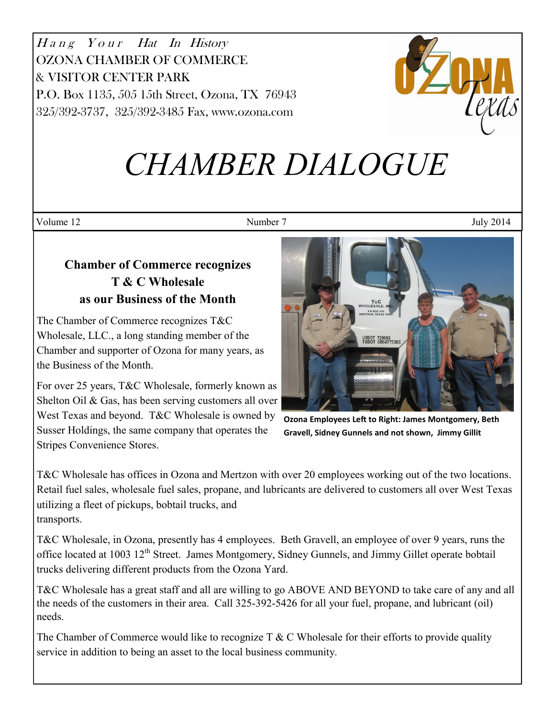Hang Your Hat In History OZONA CHAMBER OF COMMERCE & VISITOR CENTER PARK P.O. Box 1135, 505 15th Street, Ozona, TX 76943 325/392-3737, 325/392-3485 Fax, www.ozona.com



# *CHAMBER DIALOGUE*

Volume 12 July 2014

# **Chamber of Commerce recognizes T & C Wholesale as our Business of the Month**

The Chamber of Commerce recognizes T&C Wholesale, LLC., a long standing member of the Chamber and supporter of Ozona for many years, as the Business of the Month.

For over 25 years, T&C Wholesale, formerly known as Shelton Oil & Gas, has been serving customers all over West Texas and beyond. T&C Wholesale is owned by Susser Holdings, the same company that operates the Stripes Convenience Stores.



**Ozona Employees Left to Right: James Montgomery, Beth Gravell, Sidney Gunnels and not shown, Jimmy Gillit**

T&C Wholesale has offices in Ozona and Mertzon with over 20 employees working out of the two locations. Retail fuel sales, wholesale fuel sales, propane, and lubricants are delivered to customers all over West Texas utilizing a fleet of pickups, bobtail trucks, and transports.

T&C Wholesale, in Ozona, presently has 4 employees. Beth Gravell, an employee of over 9 years, runs the office located at 1003 12<sup>th</sup> Street. James Montgomery, Sidney Gunnels, and Jimmy Gillet operate bobtail trucks delivering different products from the Ozona Yard.

T&C Wholesale has a great staff and all are willing to go ABOVE AND BEYOND to take care of any and all the needs of the customers in their area. Call 325-392-5426 for all your fuel, propane, and lubricant (oil) needs.

The Chamber of Commerce would like to recognize  $T \& C$  Wholesale for their efforts to provide quality service in addition to being an asset to the local business community.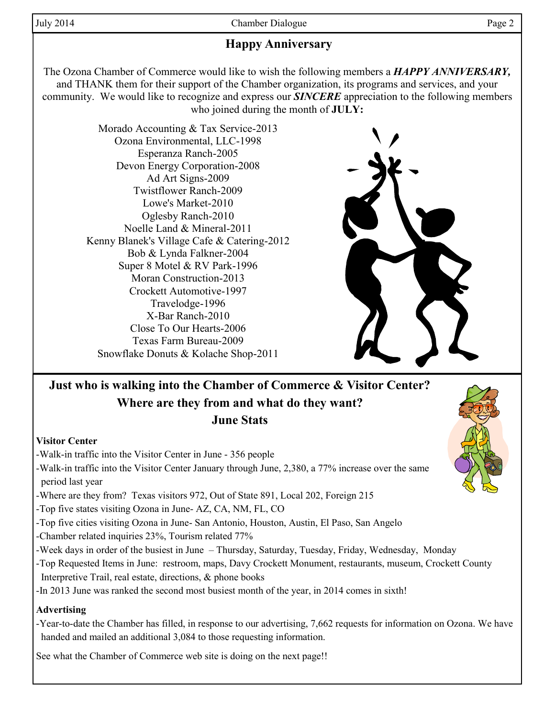# **Happy Anniversary**

The Ozona Chamber of Commerce would like to wish the following members a *HAPPY ANNIVERSARY,* and THANK them for their support of the Chamber organization, its programs and services, and your community. We would like to recognize and express our *SINCERE* appreciation to the following members who joined during the month of **JULY:**

Morado Accounting & Tax Service-2013 Ozona Environmental, LLC-1998 Esperanza Ranch-2005 Devon Energy Corporation-2008 Ad Art Signs-2009 Twistflower Ranch-2009 Lowe's Market-2010 Oglesby Ranch-2010 Noelle Land & Mineral-2011 Kenny Blanek's Village Cafe & Catering-2012 Bob & Lynda Falkner-2004 Super 8 Motel & RV Park-1996 Moran Construction-2013 Crockett Automotive-1997 Travelodge-1996 X-Bar Ranch-2010 Close To Our Hearts-2006 Texas Farm Bureau-2009 Snowflake Donuts & Kolache Shop-2011

## **Just who is walking into the Chamber of Commerce & Visitor Center? Where are they from and what do they want? June Stats**

## **Visitor Center**

- -Walk-in traffic into the Visitor Center in June 356 people
- -Walk-in traffic into the Visitor Center January through June, 2,380, a 77% increase over the same period last year
- -Where are they from? Texas visitors 972, Out of State 891, Local 202, Foreign 215
- -Top five states visiting Ozona in June- AZ, CA, NM, FL, CO
- -Top five cities visiting Ozona in June- San Antonio, Houston, Austin, El Paso, San Angelo
- -Chamber related inquiries 23%, Tourism related 77%
- -Week days in order of the busiest in June Thursday, Saturday, Tuesday, Friday, Wednesday, Monday
- -Top Requested Items in June: restroom, maps, Davy Crockett Monument, restaurants, museum, Crockett County Interpretive Trail, real estate, directions, & phone books
- -In 2013 June was ranked the second most busiest month of the year, in 2014 comes in sixth!

## **Advertising**

-Year-to-date the Chamber has filled, in response to our advertising, 7,662 requests for information on Ozona. We have handed and mailed an additional 3,084 to those requesting information.

See what the Chamber of Commerce web site is doing on the next page!!



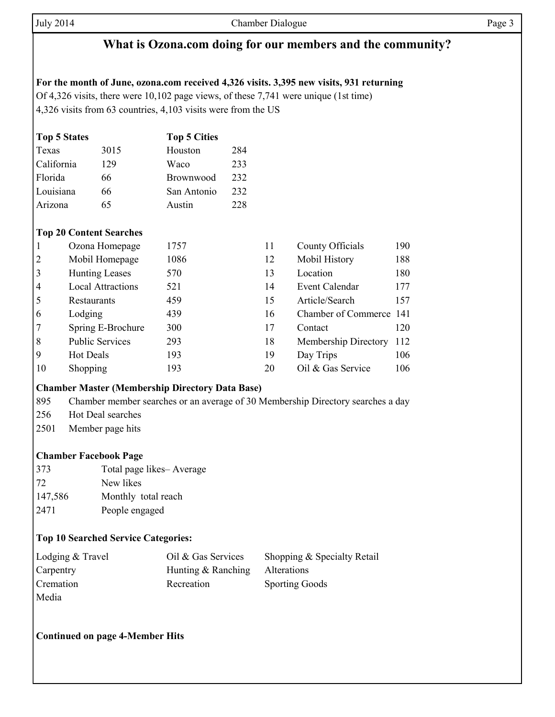## **What is Ozona.com doing for our members and the community?**

#### **For the month of June, ozona.com received 4,326 visits. 3,395 new visits, 931 returning**

Of 4,326 visits, there were 10,102 page views, of these 7,741 were unique (1st time) 4,326 visits from 63 countries, 4,103 visits were from the US

| <b>Top 5 States</b> |      | <b>Top 5 Cities</b> |     |
|---------------------|------|---------------------|-----|
| Texas               | 3015 | Houston             | 284 |
| California          | 129  | Waco                | 233 |
| Florida             | 66   | <b>Brownwood</b>    | 232 |
| Louisiana           | 66   | San Antonio         | 232 |
| Arizona             | 65   | Austin              | 228 |

#### **Top 20 Content Searches**

| $\vert$ 1      | Ozona Homepage           | 1757 | 11 | County Officials        | 190 |
|----------------|--------------------------|------|----|-------------------------|-----|
| <sup>2</sup>   | Mobil Homepage           | 1086 | 12 | Mobil History           | 188 |
| $\overline{3}$ | <b>Hunting Leases</b>    | 570  | 13 | Location                | 180 |
| $\overline{4}$ | <b>Local Attractions</b> | 521  | 14 | Event Calendar          | 177 |
| 5              | Restaurants              | 459  | 15 | Article/Search          | 157 |
| <sup>6</sup>   | Lodging                  | 439  | 16 | Chamber of Commerce 141 |     |
| 7              | Spring E-Brochure        | 300  | 17 | Contact                 | 120 |
| $\overline{8}$ | <b>Public Services</b>   | 293  | 18 | Membership Directory    | 112 |
| 19             | <b>Hot Deals</b>         | 193  | 19 | Day Trips               | 106 |
| 10             | Shopping                 | 193  | 20 | Oil & Gas Service       | 106 |

#### **Chamber Master (Membership Directory Data Base)**

- 895 Chamber member searches or an average of 30 Membership Directory searches a day
- 256 Hot Deal searches
- 2501 Member page hits

#### **Chamber Facebook Page**

- 373 Total page likes– Average 72 New likes 147,586 Monthly total reach
- 2471 People engaged

#### **Top 10 Searched Service Categories:**

| Lodging & Travel | Oil & Gas Services | Shopping & Specialty Retail |
|------------------|--------------------|-----------------------------|
| Carpentry        | Hunting & Ranching | Alterations                 |
| Cremation        | Recreation         | <b>Sporting Goods</b>       |
| Media            |                    |                             |

#### **Continued on page 4-Member Hits**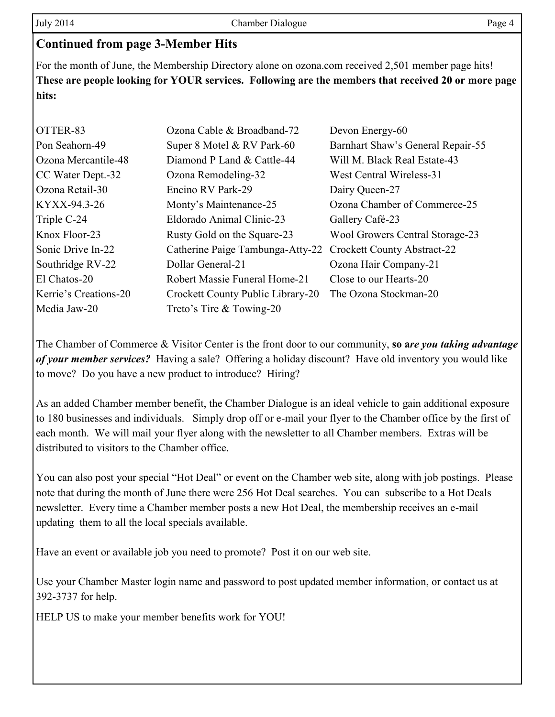# **Continued from page 3-Member Hits**

For the month of June, the Membership Directory alone on ozona.com received 2,501 member page hits! **These are people looking for YOUR services. Following are the members that received 20 or more page hits:**

| OTTER-83                     | Ozona Cable & Broadband-72        | Devon Energy-60                        |
|------------------------------|-----------------------------------|----------------------------------------|
| Pon Seahorn-49               | Super 8 Motel & RV Park-60        | Barnhart Shaw's General Repair-55      |
| Ozona Mercantile-48          | Diamond P Land & Cattle-44        | Will M. Black Real Estate-43           |
| CC Water Dept. - 32          | Ozona Remodeling-32               | West Central Wireless-31               |
| Ozona Retail-30              | Encino RV Park-29                 | Dairy Queen-27                         |
| KYXX-94.3-26                 | Monty's Maintenance-25            | Ozona Chamber of Commerce-25           |
| Triple C-24                  | Eldorado Animal Clinic-23         | Gallery Café-23                        |
| Knox Floor-23                | Rusty Gold on the Square-23       | <b>Wool Growers Central Storage-23</b> |
| Sonic Drive In-22            | Catherine Paige Tambunga-Atty-22  | <b>Crockett County Abstract-22</b>     |
| Southridge RV-22             | Dollar General-21                 | Ozona Hair Company-21                  |
| El Chatos-20                 | Robert Massie Funeral Home-21     | Close to our Hearts-20                 |
| <b>Kerrie's Creations-20</b> | Crockett County Public Library-20 | The Ozona Stockman-20                  |
| Media Jaw-20                 | Treto's Tire & Towing-20          |                                        |

The Chamber of Commerce & Visitor Center is the front door to our community, **so a***re you taking advantage of your member services?* Having a sale? Offering a holiday discount? Have old inventory you would like to move? Do you have a new product to introduce? Hiring?

As an added Chamber member benefit, the Chamber Dialogue is an ideal vehicle to gain additional exposure to 180 businesses and individuals. Simply drop off or e-mail your flyer to the Chamber office by the first of each month. We will mail your flyer along with the newsletter to all Chamber members. Extras will be distributed to visitors to the Chamber office.

You can also post your special "Hot Deal" or event on the Chamber web site, along with job postings. Please note that during the month of June there were 256 Hot Deal searches. You can subscribe to a Hot Deals newsletter. Every time a Chamber member posts a new Hot Deal, the membership receives an e-mail updating them to all the local specials available.

Have an event or available job you need to promote? Post it on our web site.

Use your Chamber Master login name and password to post updated member information, or contact us at 392-3737 for help.

HELP US to make your member benefits work for YOU!